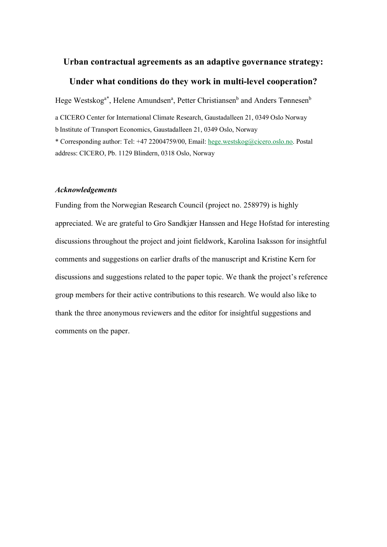## **Urban contractual agreements as an adaptive governance strategy: Under what conditions do they work in multi-level cooperation?**

Hege Westskog<sup>a\*</sup>, Helene Amundsen<sup>a</sup>, Petter Christiansen<sup>b</sup> and Anders Tønnesen<sup>b</sup>

a CICERO Center for International Climate Research, Gaustadalleen 21, 0349 Oslo Norway b Institute of Transport Economics, Gaustadalleen 21, 0349 Oslo, Norway

\* Corresponding author: Tel: +47 22004759/00, Email: [hege.westskog@cicero.oslo.no.](mailto:hege.westskog@cicero.oslo.no) Postal address: CICERO, Pb. 1129 Blindern, 0318 Oslo, Norway

#### *Acknowledgements*

Funding from the Norwegian Research Council (project no. 258979) is highly appreciated. We are grateful to Gro Sandkjær Hanssen and Hege Hofstad for interesting discussions throughout the project and joint fieldwork, Karolina Isaksson for insightful comments and suggestions on earlier drafts of the manuscript and Kristine Kern for discussions and suggestions related to the paper topic. We thank the project's reference group members for their active contributions to this research. We would also like to thank the three anonymous reviewers and the editor for insightful suggestions and comments on the paper.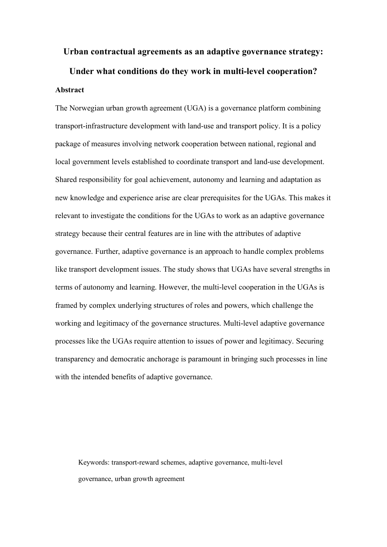# **Urban contractual agreements as an adaptive governance strategy: Under what conditions do they work in multi-level cooperation? Abstract**

The Norwegian urban growth agreement (UGA) is a governance platform combining transport-infrastructure development with land-use and transport policy. It is a policy package of measures involving network cooperation between national, regional and local government levels established to coordinate transport and land-use development. Shared responsibility for goal achievement, autonomy and learning and adaptation as new knowledge and experience arise are clear prerequisites for the UGAs. This makes it relevant to investigate the conditions for the UGAs to work as an adaptive governance strategy because their central features are in line with the attributes of adaptive governance. Further, adaptive governance is an approach to handle complex problems like transport development issues. The study shows that UGAs have several strengths in terms of autonomy and learning. However, the multi-level cooperation in the UGAs is framed by complex underlying structures of roles and powers, which challenge the working and legitimacy of the governance structures. Multi-level adaptive governance processes like the UGAs require attention to issues of power and legitimacy. Securing transparency and democratic anchorage is paramount in bringing such processes in line with the intended benefits of adaptive governance.

Keywords: transport-reward schemes, adaptive governance, multi-level governance, urban growth agreement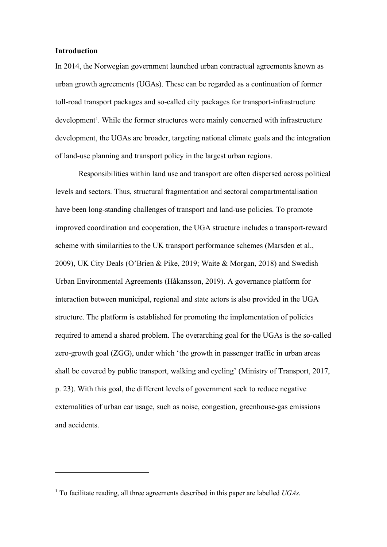## **Introduction**

In 2014, the Norwegian government launched urban contractual agreements known as urban growth agreements (UGAs). These can be regarded as a continuation of former toll-road transport packages and so-called city packages for transport-infrastructure development<sup>[1](#page-2-0)</sup>. While the former structures were mainly concerned with infrastructure development, the UGAs are broader, targeting national climate goals and the integration of land-use planning and transport policy in the largest urban regions.

Responsibilities within land use and transport are often dispersed across political levels and sectors. Thus, structural fragmentation and sectoral compartmentalisation have been long-standing challenges of transport and land-use policies. To promote improved coordination and cooperation, the UGA structure includes a transport-reward scheme with similarities to the UK transport performance schemes (Marsden et al., 2009), UK City Deals (O'Brien & Pike, 2019; Waite & Morgan, 2018) and Swedish Urban Environmental Agreements (Håkansson, 2019). A governance platform for interaction between municipal, regional and state actors is also provided in the UGA structure. The platform is established for promoting the implementation of policies required to amend a shared problem. The overarching goal for the UGAs is the so-called zero-growth goal (ZGG), under which 'the growth in passenger traffic in urban areas shall be covered by public transport, walking and cycling' (Ministry of Transport, 2017, p. 23). With this goal, the different levels of government seek to reduce negative externalities of urban car usage, such as noise, congestion, greenhouse-gas emissions and accidents.

<span id="page-2-0"></span><sup>1</sup> To facilitate reading, all three agreements described in this paper are labelled *UGAs*.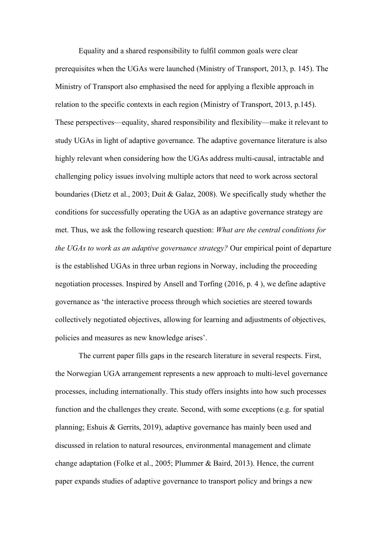Equality and a shared responsibility to fulfil common goals were clear prerequisites when the UGAs were launched (Ministry of Transport, 2013, p. 145). The Ministry of Transport also emphasised the need for applying a flexible approach in relation to the specific contexts in each region (Ministry of Transport, 2013, p.145). These perspectives—equality, shared responsibility and flexibility—make it relevant to study UGAs in light of adaptive governance. The adaptive governance literature is also highly relevant when considering how the UGAs address multi-causal, intractable and challenging policy issues involving multiple actors that need to work across sectoral boundaries (Dietz et al., 2003; Duit & Galaz, 2008). We specifically study whether the conditions for successfully operating the UGA as an adaptive governance strategy are met. Thus, we ask the following research question: *What are the central conditions for the UGAs to work as an adaptive governance strategy?* Our empirical point of departure is the established UGAs in three urban regions in Norway, including the proceeding negotiation processes. Inspired by Ansell and Torfing (2016, p. 4 ), we define adaptive governance as 'the interactive process through which societies are steered towards collectively negotiated objectives, allowing for learning and adjustments of objectives, policies and measures as new knowledge arises'.

The current paper fills gaps in the research literature in several respects. First, the Norwegian UGA arrangement represents a new approach to multi-level governance processes, including internationally. This study offers insights into how such processes function and the challenges they create. Second, with some exceptions (e.g. for spatial planning; Eshuis & Gerrits, 2019), adaptive governance has mainly been used and discussed in relation to natural resources, environmental management and climate change adaptation (Folke et al., 2005; Plummer & Baird, 2013). Hence, the current paper expands studies of adaptive governance to transport policy and brings a new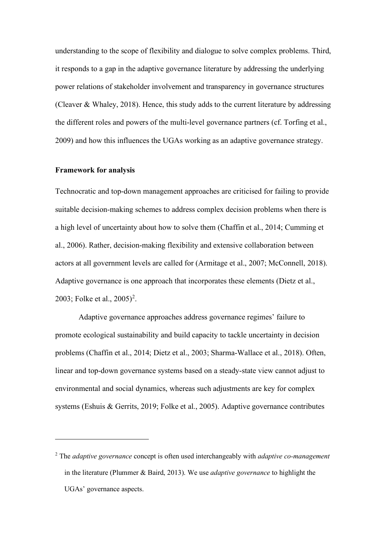understanding to the scope of flexibility and dialogue to solve complex problems. Third, it responds to a gap in the adaptive governance literature by addressing the underlying power relations of stakeholder involvement and transparency in governance structures (Cleaver & Whaley, 2018). Hence, this study adds to the current literature by addressing the different roles and powers of the multi-level governance partners (cf. Torfing et al., 2009) and how this influences the UGAs working as an adaptive governance strategy.

#### **Framework for analysis**

Technocratic and top-down management approaches are criticised for failing to provide suitable decision-making schemes to address complex decision problems when there is a high level of uncertainty about how to solve them (Chaffin et al., 2014; Cumming et al., 2006). Rather, decision-making flexibility and extensive collaboration between actors at all government levels are called for (Armitage et al., 2007; McConnell, 2018). Adaptive governance is one approach that incorporates these elements (Dietz et al., [2](#page-4-0)003; Folke et al.,  $2005)^2$ .

Adaptive governance approaches address governance regimes' failure to promote ecological sustainability and build capacity to tackle uncertainty in decision problems (Chaffin et al., 2014; Dietz et al., 2003; Sharma-Wallace et al., 2018). Often, linear and top-down governance systems based on a steady-state view cannot adjust to environmental and social dynamics, whereas such adjustments are key for complex systems (Eshuis & Gerrits, 2019; Folke et al., 2005). Adaptive governance contributes

<span id="page-4-0"></span><sup>2</sup> The *adaptive governance* concept is often used interchangeably with *adaptive co-management* in the literature (Plummer & Baird, 2013). We use *adaptive governance* to highlight the UGAs' governance aspects.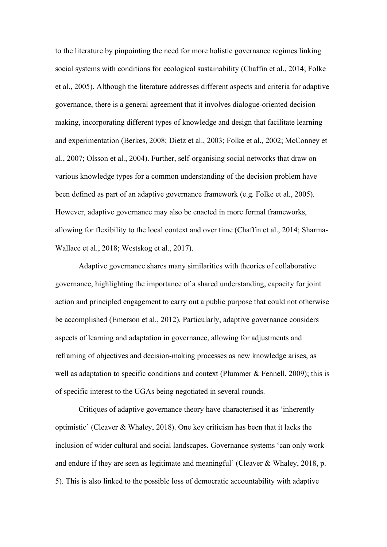to the literature by pinpointing the need for more holistic governance regimes linking social systems with conditions for ecological sustainability (Chaffin et al., 2014; Folke et al., 2005). Although the literature addresses different aspects and criteria for adaptive governance, there is a general agreement that it involves dialogue-oriented decision making, incorporating different types of knowledge and design that facilitate learning and experimentation (Berkes, 2008; Dietz et al., 2003; Folke et al., 2002; McConney et al., 2007; Olsson et al., 2004). Further, self-organising social networks that draw on various knowledge types for a common understanding of the decision problem have been defined as part of an adaptive governance framework (e.g. Folke et al., 2005). However, adaptive governance may also be enacted in more formal frameworks, allowing for flexibility to the local context and over time (Chaffin et al., 2014; Sharma-Wallace et al., 2018; Westskog et al., 2017).

Adaptive governance shares many similarities with theories of collaborative governance, highlighting the importance of a shared understanding, capacity for joint action and principled engagement to carry out a public purpose that could not otherwise be accomplished (Emerson et al., 2012). Particularly, adaptive governance considers aspects of learning and adaptation in governance, allowing for adjustments and reframing of objectives and decision-making processes as new knowledge arises, as well as adaptation to specific conditions and context (Plummer  $\&$  Fennell, 2009); this is of specific interest to the UGAs being negotiated in several rounds.

Critiques of adaptive governance theory have characterised it as 'inherently optimistic' (Cleaver & Whaley, 2018). One key criticism has been that it lacks the inclusion of wider cultural and social landscapes. Governance systems 'can only work and endure if they are seen as legitimate and meaningful' (Cleaver & Whaley, 2018, p. 5). This is also linked to the possible loss of democratic accountability with adaptive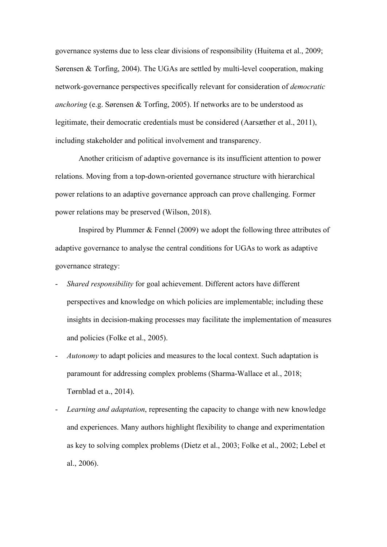governance systems due to less clear divisions of responsibility (Huitema et al., 2009; Sørensen & Torfing, 2004). The UGAs are settled by multi-level cooperation, making network-governance perspectives specifically relevant for consideration of *democratic anchoring* (e.g. Sørensen & Torfing, 2005). If networks are to be understood as legitimate, their democratic credentials must be considered (Aarsæther et al., 2011), including stakeholder and political involvement and transparency.

Another criticism of adaptive governance is its insufficient attention to power relations. Moving from a top-down-oriented governance structure with hierarchical power relations to an adaptive governance approach can prove challenging. Former power relations may be preserved (Wilson, 2018).

Inspired by Plummer & Fennel (2009) we adopt the following three attributes of adaptive governance to analyse the central conditions for UGAs to work as adaptive governance strategy:

- *Shared responsibility* for goal achievement. Different actors have different perspectives and knowledge on which policies are implementable; including these insights in decision-making processes may facilitate the implementation of measures and policies (Folke et al., 2005).
- *Autonomy* to adapt policies and measures to the local context. Such adaptation is paramount for addressing complex problems (Sharma-Wallace et al., 2018; Tørnblad et a., 2014).
- *Learning and adaptation*, representing the capacity to change with new knowledge and experiences. Many authors highlight flexibility to change and experimentation as key to solving complex problems (Dietz et al., 2003; Folke et al., 2002; Lebel et al., 2006).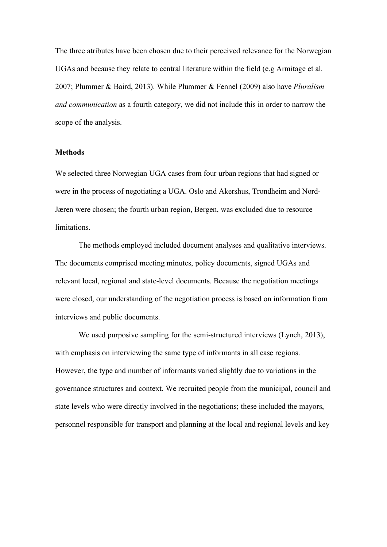The three atributes have been chosen due to their perceived relevance for the Norwegian UGAs and because they relate to central literature within the field (e.g Armitage et al. 2007; Plummer & Baird, 2013). While Plummer & Fennel (2009) also have *Pluralism and communication* as a fourth category, we did not include this in order to narrow the scope of the analysis.

#### **Methods**

We selected three Norwegian UGA cases from four urban regions that had signed or were in the process of negotiating a UGA. Oslo and Akershus, Trondheim and Nord-Jæren were chosen; the fourth urban region, Bergen, was excluded due to resource limitations.

The methods employed included document analyses and qualitative interviews. The documents comprised meeting minutes, policy documents, signed UGAs and relevant local, regional and state-level documents. Because the negotiation meetings were closed, our understanding of the negotiation process is based on information from interviews and public documents.

We used purposive sampling for the semi-structured interviews (Lynch, 2013), with emphasis on interviewing the same type of informants in all case regions. However, the type and number of informants varied slightly due to variations in the governance structures and context. We recruited people from the municipal, council and state levels who were directly involved in the negotiations; these included the mayors, personnel responsible for transport and planning at the local and regional levels and key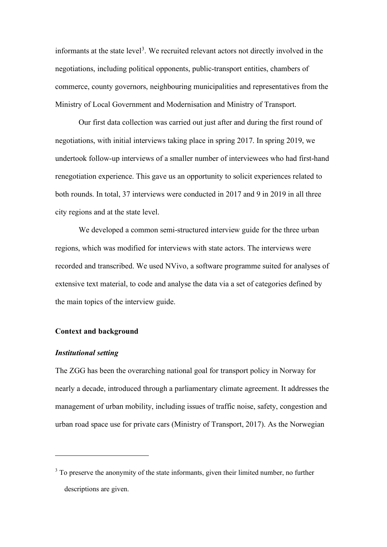informants at the state level<sup>[3](#page-8-0)</sup>. We recruited relevant actors not directly involved in the negotiations, including political opponents, public-transport entities, chambers of commerce, county governors, neighbouring municipalities and representatives from the Ministry of Local Government and Modernisation and Ministry of Transport.

Our first data collection was carried out just after and during the first round of negotiations, with initial interviews taking place in spring 2017. In spring 2019, we undertook follow-up interviews of a smaller number of interviewees who had first-hand renegotiation experience. This gave us an opportunity to solicit experiences related to both rounds. In total, 37 interviews were conducted in 2017 and 9 in 2019 in all three city regions and at the state level.

We developed a common semi-structured interview guide for the three urban regions, which was modified for interviews with state actors. The interviews were recorded and transcribed. We used NVivo, a software programme suited for analyses of extensive text material, to code and analyse the data via a set of categories defined by the main topics of the interview guide.

### **Context and background**

## *Institutional setting*

The ZGG has been the overarching national goal for transport policy in Norway for nearly a decade, introduced through a parliamentary climate agreement. It addresses the management of urban mobility, including issues of traffic noise, safety, congestion and urban road space use for private cars (Ministry of Transport, 2017). As the Norwegian

<span id="page-8-0"></span><sup>&</sup>lt;sup>3</sup> To preserve the anonymity of the state informants, given their limited number, no further descriptions are given.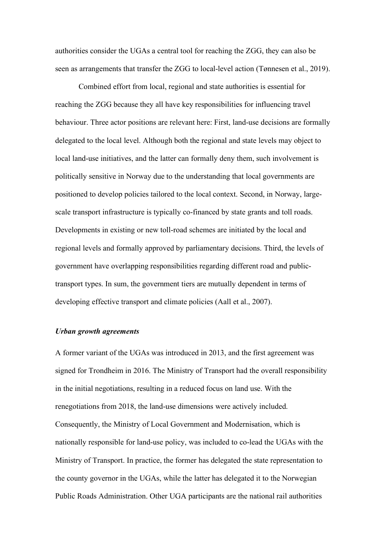authorities consider the UGAs a central tool for reaching the ZGG, they can also be seen as arrangements that transfer the ZGG to local-level action (Tønnesen et al., 2019).

Combined effort from local, regional and state authorities is essential for reaching the ZGG because they all have key responsibilities for influencing travel behaviour. Three actor positions are relevant here: First, land-use decisions are formally delegated to the local level. Although both the regional and state levels may object to local land-use initiatives, and the latter can formally deny them, such involvement is politically sensitive in Norway due to the understanding that local governments are positioned to develop policies tailored to the local context. Second, in Norway, largescale transport infrastructure is typically co-financed by state grants and toll roads. Developments in existing or new toll-road schemes are initiated by the local and regional levels and formally approved by parliamentary decisions. Third, the levels of government have overlapping responsibilities regarding different road and publictransport types. In sum, the government tiers are mutually dependent in terms of developing effective transport and climate policies (Aall et al., 2007).

#### *Urban growth agreements*

A former variant of the UGAs was introduced in 2013, and the first agreement was signed for Trondheim in 2016. The Ministry of Transport had the overall responsibility in the initial negotiations, resulting in a reduced focus on land use. With the renegotiations from 2018, the land-use dimensions were actively included. Consequently, the Ministry of Local Government and Modernisation, which is nationally responsible for land-use policy, was included to co-lead the UGAs with the Ministry of Transport. In practice, the former has delegated the state representation to the county governor in the UGAs, while the latter has delegated it to the Norwegian Public Roads Administration. Other UGA participants are the national rail authorities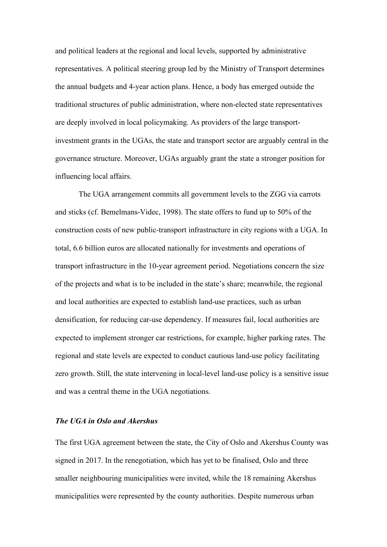and political leaders at the regional and local levels, supported by administrative representatives. A political steering group led by the Ministry of Transport determines the annual budgets and 4-year action plans. Hence, a body has emerged outside the traditional structures of public administration, where non-elected state representatives are deeply involved in local policymaking. As providers of the large transportinvestment grants in the UGAs, the state and transport sector are arguably central in the governance structure. Moreover, UGAs arguably grant the state a stronger position for influencing local affairs.

The UGA arrangement commits all government levels to the ZGG via carrots and sticks (cf. Bemelmans-Videc, 1998). The state offers to fund up to 50% of the construction costs of new public-transport infrastructure in city regions with a UGA. In total, 6.6 billion euros are allocated nationally for investments and operations of transport infrastructure in the 10-year agreement period. Negotiations concern the size of the projects and what is to be included in the state's share; meanwhile, the regional and local authorities are expected to establish land-use practices, such as urban densification, for reducing car-use dependency. If measures fail, local authorities are expected to implement stronger car restrictions, for example, higher parking rates. The regional and state levels are expected to conduct cautious land-use policy facilitating zero growth. Still, the state intervening in local-level land-use policy is a sensitive issue and was a central theme in the UGA negotiations.

#### *The UGA in Oslo and Akershus*

The first UGA agreement between the state, the City of Oslo and Akershus County was signed in 2017. In the renegotiation, which has yet to be finalised, Oslo and three smaller neighbouring municipalities were invited, while the 18 remaining Akershus municipalities were represented by the county authorities. Despite numerous urban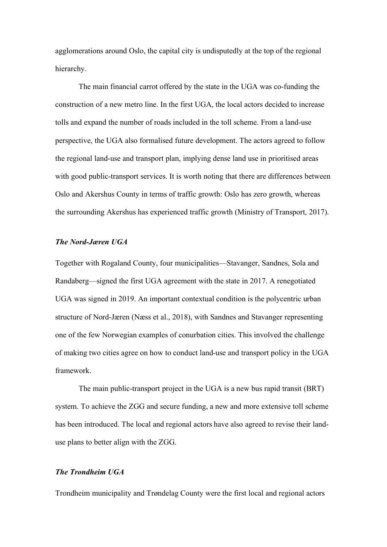agglomerations around Oslo, the capital city is undisputedly at the top of the regional hierarchy.

The main financial carrot offered by the state in the UGA was co-funding the construction of a new metro line. In the first UGA, the local actors decided to increase tolls and expand the number of roads included in the toll scheme. From a land-use perspective, the UGA also formalised future development. The actors agreed to follow the regional land-use and transport plan, implying dense land use in prioritised areas with good public-transport services. It is worth noting that there are differences between Oslo and Akershus County in terms of traffic growth: Oslo has zero growth, whereas the surrounding Akershus has experienced traffic growth (Ministry of Transport, 2017).

## *The Nord-Jæren UGA*

Together with Rogaland County, four municipalities—Stavanger, Sandnes, Sola and Randaberg—signed the first UGA agreement with the state in 2017. A renegotiated UGA was signed in 2019. An important contextual condition is the polycentric urban structure of Nord-Jæren (Næss et al., 2018), with Sandnes and Stavanger representing one of the few Norwegian examples of conurbation cities. This involved the challenge of making two cities agree on how to conduct land-use and transport policy in the UGA framework.

The main public-transport project in the UGA is a new bus rapid transit (BRT) system. To achieve the ZGG and secure funding, a new and more extensive toll scheme has been introduced. The local and regional actors have also agreed to revise their landuse plans to better align with the ZGG.

### *The Trondheim UGA*

Trondheim municipality and Trøndelag County were the first local and regional actors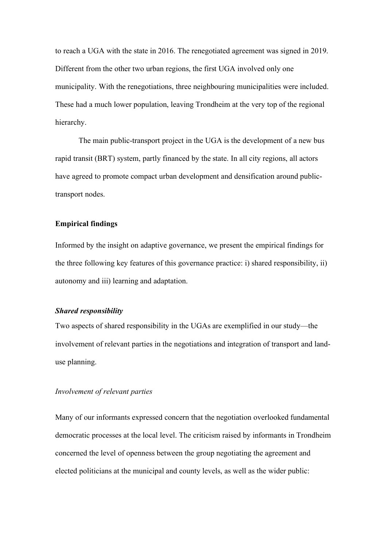to reach a UGA with the state in 2016. The renegotiated agreement was signed in 2019. Different from the other two urban regions, the first UGA involved only one municipality. With the renegotiations, three neighbouring municipalities were included. These had a much lower population, leaving Trondheim at the very top of the regional hierarchy.

The main public-transport project in the UGA is the development of a new bus rapid transit (BRT) system, partly financed by the state. In all city regions, all actors have agreed to promote compact urban development and densification around publictransport nodes.

## **Empirical findings**

Informed by the insight on adaptive governance, we present the empirical findings for the three following key features of this governance practice: i) shared responsibility, ii) autonomy and iii) learning and adaptation.

## *Shared responsibility*

Two aspects of shared responsibility in the UGAs are exemplified in our study—the involvement of relevant parties in the negotiations and integration of transport and landuse planning.

## *Involvement of relevant parties*

Many of our informants expressed concern that the negotiation overlooked fundamental democratic processes at the local level. The criticism raised by informants in Trondheim concerned the level of openness between the group negotiating the agreement and elected politicians at the municipal and county levels, as well as the wider public: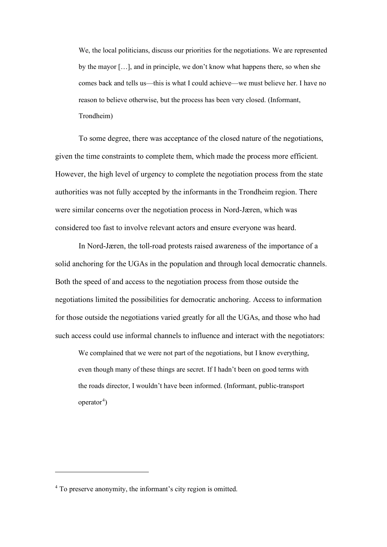We, the local politicians, discuss our priorities for the negotiations. We are represented by the mayor […], and in principle, we don't know what happens there, so when she comes back and tells us—this is what I could achieve—we must believe her. I have no reason to believe otherwise, but the process has been very closed. (Informant, Trondheim)

To some degree, there was acceptance of the closed nature of the negotiations, given the time constraints to complete them, which made the process more efficient. However, the high level of urgency to complete the negotiation process from the state authorities was not fully accepted by the informants in the Trondheim region. There were similar concerns over the negotiation process in Nord-Jæren, which was considered too fast to involve relevant actors and ensure everyone was heard.

In Nord-Jæren, the toll-road protests raised awareness of the importance of a solid anchoring for the UGAs in the population and through local democratic channels. Both the speed of and access to the negotiation process from those outside the negotiations limited the possibilities for democratic anchoring. Access to information for those outside the negotiations varied greatly for all the UGAs, and those who had such access could use informal channels to influence and interact with the negotiators:

We complained that we were not part of the negotiations, but I know everything, even though many of these things are secret. If I hadn't been on good terms with the roads director, I wouldn't have been informed. (Informant, public-transport operator<sup>[4](#page-13-0)</sup>)

<span id="page-13-0"></span><sup>4</sup> To preserve anonymity, the informant's city region is omitted.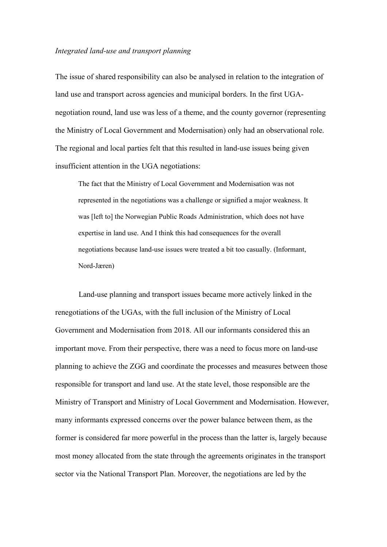## *Integrated land-use and transport planning*

The issue of shared responsibility can also be analysed in relation to the integration of land use and transport across agencies and municipal borders. In the first UGAnegotiation round, land use was less of a theme, and the county governor (representing the Ministry of Local Government and Modernisation) only had an observational role. The regional and local parties felt that this resulted in land-use issues being given insufficient attention in the UGA negotiations:

The fact that the Ministry of Local Government and Modernisation was not represented in the negotiations was a challenge or signified a major weakness. It was [left to] the Norwegian Public Roads Administration, which does not have expertise in land use. And I think this had consequences for the overall negotiations because land-use issues were treated a bit too casually. (Informant, Nord-Jæren)

Land-use planning and transport issues became more actively linked in the renegotiations of the UGAs, with the full inclusion of the Ministry of Local Government and Modernisation from 2018. All our informants considered this an important move. From their perspective, there was a need to focus more on land-use planning to achieve the ZGG and coordinate the processes and measures between those responsible for transport and land use. At the state level, those responsible are the Ministry of Transport and Ministry of Local Government and Modernisation. However, many informants expressed concerns over the power balance between them, as the former is considered far more powerful in the process than the latter is, largely because most money allocated from the state through the agreements originates in the transport sector via the National Transport Plan. Moreover, the negotiations are led by the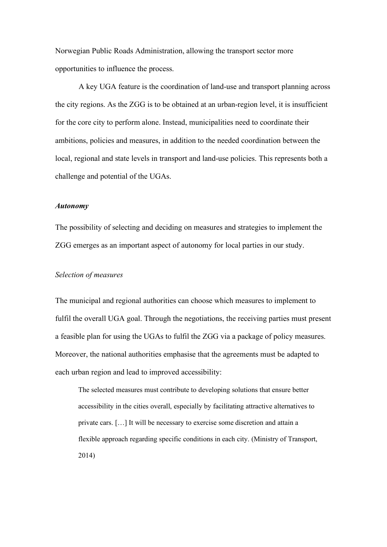Norwegian Public Roads Administration, allowing the transport sector more opportunities to influence the process.

A key UGA feature is the coordination of land-use and transport planning across the city regions. As the ZGG is to be obtained at an urban-region level, it is insufficient for the core city to perform alone. Instead, municipalities need to coordinate their ambitions, policies and measures, in addition to the needed coordination between the local, regional and state levels in transport and land-use policies. This represents both a challenge and potential of the UGAs.

#### *Autonomy*

The possibility of selecting and deciding on measures and strategies to implement the ZGG emerges as an important aspect of autonomy for local parties in our study.

## *Selection of measures*

The municipal and regional authorities can choose which measures to implement to fulfil the overall UGA goal. Through the negotiations, the receiving parties must present a feasible plan for using the UGAs to fulfil the ZGG via a package of policy measures. Moreover, the national authorities emphasise that the agreements must be adapted to each urban region and lead to improved accessibility:

The selected measures must contribute to developing solutions that ensure better accessibility in the cities overall, especially by facilitating attractive alternatives to private cars. […] It will be necessary to exercise some discretion and attain a flexible approach regarding specific conditions in each city. (Ministry of Transport, 2014)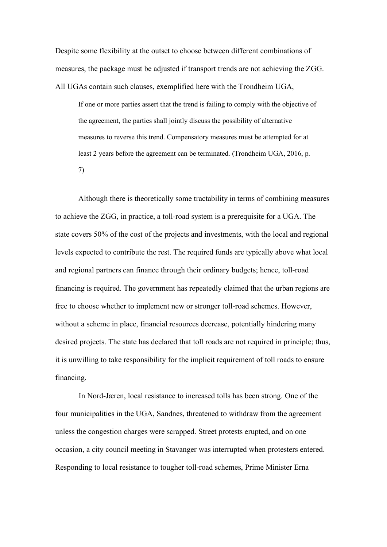Despite some flexibility at the outset to choose between different combinations of measures, the package must be adjusted if transport trends are not achieving the ZGG. All UGAs contain such clauses, exemplified here with the Trondheim UGA,

If one or more parties assert that the trend is failing to comply with the objective of the agreement, the parties shall jointly discuss the possibility of alternative measures to reverse this trend. Compensatory measures must be attempted for at least 2 years before the agreement can be terminated. (Trondheim UGA, 2016, p. 7)

Although there is theoretically some tractability in terms of combining measures to achieve the ZGG, in practice, a toll-road system is a prerequisite for a UGA. The state covers 50% of the cost of the projects and investments, with the local and regional levels expected to contribute the rest. The required funds are typically above what local and regional partners can finance through their ordinary budgets; hence, toll-road financing is required. The government has repeatedly claimed that the urban regions are free to choose whether to implement new or stronger toll-road schemes. However, without a scheme in place, financial resources decrease, potentially hindering many desired projects. The state has declared that toll roads are not required in principle; thus, it is unwilling to take responsibility for the implicit requirement of toll roads to ensure financing.

In Nord-Jæren, local resistance to increased tolls has been strong. One of the four municipalities in the UGA, Sandnes, threatened to withdraw from the agreement unless the congestion charges were scrapped. Street protests erupted, and on one occasion, a city council meeting in Stavanger was interrupted when protesters entered. Responding to local resistance to tougher toll-road schemes, Prime Minister Erna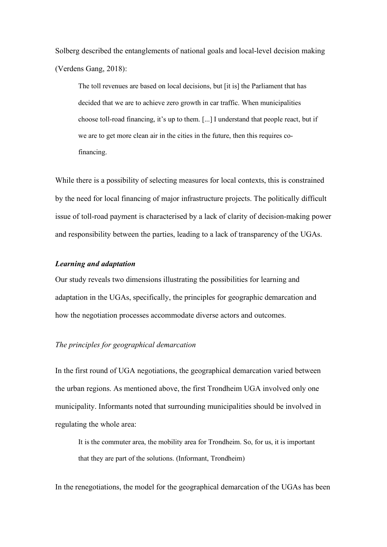Solberg described the entanglements of national goals and local-level decision making (Verdens Gang, 2018):

The toll revenues are based on local decisions, but [it is] the Parliament that has decided that we are to achieve zero growth in car traffic. When municipalities choose toll-road financing, it's up to them. [...] I understand that people react, but if we are to get more clean air in the cities in the future, then this requires cofinancing.

While there is a possibility of selecting measures for local contexts, this is constrained by the need for local financing of major infrastructure projects. The politically difficult issue of toll-road payment is characterised by a lack of clarity of decision-making power and responsibility between the parties, leading to a lack of transparency of the UGAs.

### *Learning and adaptation*

Our study reveals two dimensions illustrating the possibilities for learning and adaptation in the UGAs, specifically, the principles for geographic demarcation and how the negotiation processes accommodate diverse actors and outcomes.

## *The principles for geographical demarcation*

In the first round of UGA negotiations, the geographical demarcation varied between the urban regions. As mentioned above, the first Trondheim UGA involved only one municipality. Informants noted that surrounding municipalities should be involved in regulating the whole area:

It is the commuter area, the mobility area for Trondheim. So, for us, it is important that they are part of the solutions. (Informant, Trondheim)

In the renegotiations, the model for the geographical demarcation of the UGAs has been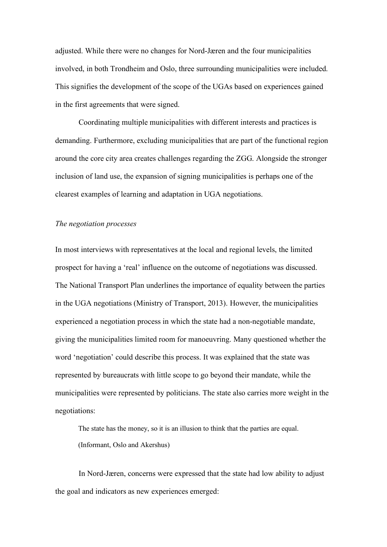adjusted. While there were no changes for Nord-Jæren and the four municipalities involved, in both Trondheim and Oslo, three surrounding municipalities were included. This signifies the development of the scope of the UGAs based on experiences gained in the first agreements that were signed.

Coordinating multiple municipalities with different interests and practices is demanding. Furthermore, excluding municipalities that are part of the functional region around the core city area creates challenges regarding the ZGG. Alongside the stronger inclusion of land use, the expansion of signing municipalities is perhaps one of the clearest examples of learning and adaptation in UGA negotiations.

#### *The negotiation processes*

In most interviews with representatives at the local and regional levels, the limited prospect for having a 'real' influence on the outcome of negotiations was discussed. The National Transport Plan underlines the importance of equality between the parties in the UGA negotiations (Ministry of Transport, 2013). However, the municipalities experienced a negotiation process in which the state had a non-negotiable mandate, giving the municipalities limited room for manoeuvring. Many questioned whether the word 'negotiation' could describe this process. It was explained that the state was represented by bureaucrats with little scope to go beyond their mandate, while the municipalities were represented by politicians. The state also carries more weight in the negotiations:

The state has the money, so it is an illusion to think that the parties are equal. (Informant, Oslo and Akershus)

In Nord-Jæren, concerns were expressed that the state had low ability to adjust the goal and indicators as new experiences emerged: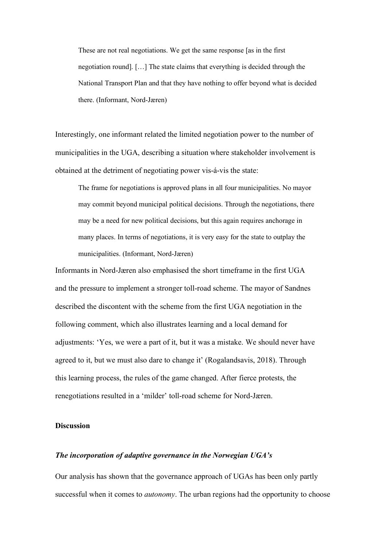These are not real negotiations. We get the same response [as in the first negotiation round]. […] The state claims that everything is decided through the National Transport Plan and that they have nothing to offer beyond what is decided there. (Informant, Nord-Jæren)

Interestingly, one informant related the limited negotiation power to the number of municipalities in the UGA, describing a situation where stakeholder involvement is obtained at the detriment of negotiating power vis-á-vis the state:

The frame for negotiations is approved plans in all four municipalities. No mayor may commit beyond municipal political decisions. Through the negotiations, there may be a need for new political decisions, but this again requires anchorage in many places. In terms of negotiations, it is very easy for the state to outplay the municipalities. (Informant, Nord-Jæren)

Informants in Nord-Jæren also emphasised the short timeframe in the first UGA and the pressure to implement a stronger toll-road scheme. The mayor of Sandnes described the discontent with the scheme from the first UGA negotiation in the following comment, which also illustrates learning and a local demand for adjustments: 'Yes, we were a part of it, but it was a mistake. We should never have agreed to it, but we must also dare to change it' (Rogalandsavis, 2018). Through this learning process, the rules of the game changed. After fierce protests, the renegotiations resulted in a 'milder' toll-road scheme for Nord-Jæren.

## **Discussion**

### *The incorporation of adaptive governance in the Norwegian UGA's*

Our analysis has shown that the governance approach of UGAs has been only partly successful when it comes to *autonomy*. The urban regions had the opportunity to choose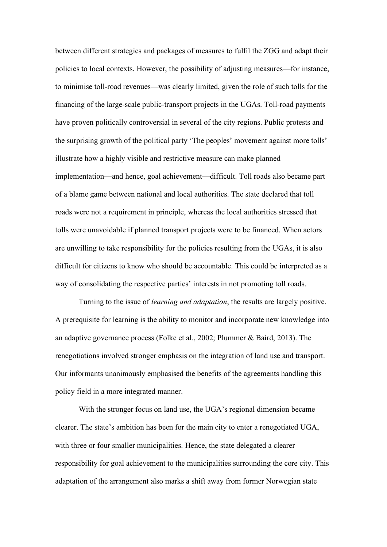between different strategies and packages of measures to fulfil the ZGG and adapt their policies to local contexts. However, the possibility of adjusting measures—for instance, to minimise toll-road revenues—was clearly limited, given the role of such tolls for the financing of the large-scale public-transport projects in the UGAs. Toll-road payments have proven politically controversial in several of the city regions. Public protests and the surprising growth of the political party 'The peoples' movement against more tolls' illustrate how a highly visible and restrictive measure can make planned implementation—and hence, goal achievement—difficult. Toll roads also became part of a blame game between national and local authorities. The state declared that toll roads were not a requirement in principle, whereas the local authorities stressed that tolls were unavoidable if planned transport projects were to be financed. When actors are unwilling to take responsibility for the policies resulting from the UGAs, it is also difficult for citizens to know who should be accountable. This could be interpreted as a way of consolidating the respective parties' interests in not promoting toll roads.

Turning to the issue of *learning and adaptation*, the results are largely positive. A prerequisite for learning is the ability to monitor and incorporate new knowledge into an adaptive governance process (Folke et al., 2002; Plummer & Baird, 2013). The renegotiations involved stronger emphasis on the integration of land use and transport. Our informants unanimously emphasised the benefits of the agreements handling this policy field in a more integrated manner.

With the stronger focus on land use, the UGA's regional dimension became clearer. The state's ambition has been for the main city to enter a renegotiated UGA, with three or four smaller municipalities. Hence, the state delegated a clearer responsibility for goal achievement to the municipalities surrounding the core city. This adaptation of the arrangement also marks a shift away from former Norwegian state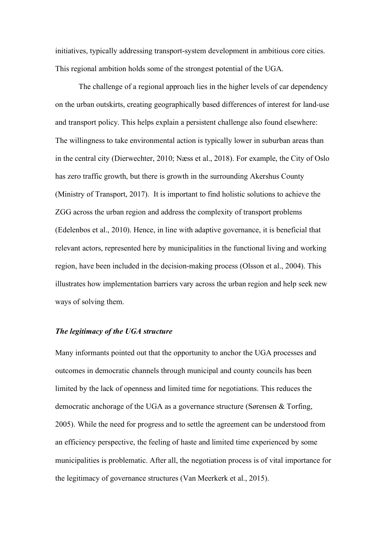initiatives, typically addressing transport-system development in ambitious core cities. This regional ambition holds some of the strongest potential of the UGA.

The challenge of a regional approach lies in the higher levels of car dependency on the urban outskirts, creating geographically based differences of interest for land-use and transport policy. This helps explain a persistent challenge also found elsewhere: The willingness to take environmental action is typically lower in suburban areas than in the central city (Dierwechter, 2010; Næss et al., 2018). For example, the City of Oslo has zero traffic growth, but there is growth in the surrounding Akershus County (Ministry of Transport, 2017). It is important to find holistic solutions to achieve the ZGG across the urban region and address the complexity of transport problems (Edelenbos et al., 2010). Hence, in line with adaptive governance, it is beneficial that relevant actors, represented here by municipalities in the functional living and working region, have been included in the decision-making process (Olsson et al., 2004). This illustrates how implementation barriers vary across the urban region and help seek new ways of solving them.

#### *The legitimacy of the UGA structure*

Many informants pointed out that the opportunity to anchor the UGA processes and outcomes in democratic channels through municipal and county councils has been limited by the lack of openness and limited time for negotiations. This reduces the democratic anchorage of the UGA as a governance structure (Sørensen & Torfing, 2005). While the need for progress and to settle the agreement can be understood from an efficiency perspective, the feeling of haste and limited time experienced by some municipalities is problematic. After all, the negotiation process is of vital importance for the legitimacy of governance structures (Van Meerkerk et al., 2015).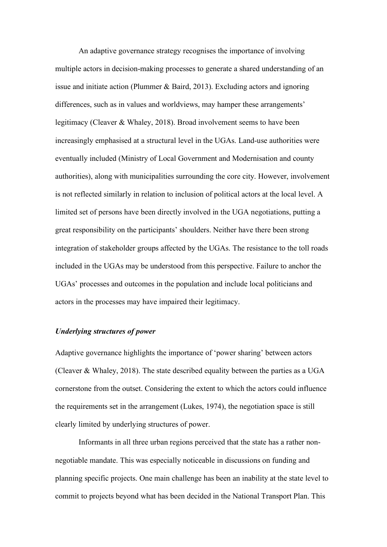An adaptive governance strategy recognises the importance of involving multiple actors in decision-making processes to generate a shared understanding of an issue and initiate action (Plummer & Baird, 2013). Excluding actors and ignoring differences, such as in values and worldviews, may hamper these arrangements' legitimacy (Cleaver & Whaley, 2018). Broad involvement seems to have been increasingly emphasised at a structural level in the UGAs. Land-use authorities were eventually included (Ministry of Local Government and Modernisation and county authorities), along with municipalities surrounding the core city. However, involvement is not reflected similarly in relation to inclusion of political actors at the local level. A limited set of persons have been directly involved in the UGA negotiations, putting a great responsibility on the participants' shoulders. Neither have there been strong integration of stakeholder groups affected by the UGAs. The resistance to the toll roads included in the UGAs may be understood from this perspective. Failure to anchor the UGAs' processes and outcomes in the population and include local politicians and actors in the processes may have impaired their legitimacy.

#### *Underlying structures of power*

Adaptive governance highlights the importance of 'power sharing' between actors (Cleaver & Whaley, 2018). The state described equality between the parties as a UGA cornerstone from the outset. Considering the extent to which the actors could influence the requirements set in the arrangement (Lukes, 1974), the negotiation space is still clearly limited by underlying structures of power.

Informants in all three urban regions perceived that the state has a rather nonnegotiable mandate. This was especially noticeable in discussions on funding and planning specific projects. One main challenge has been an inability at the state level to commit to projects beyond what has been decided in the National Transport Plan. This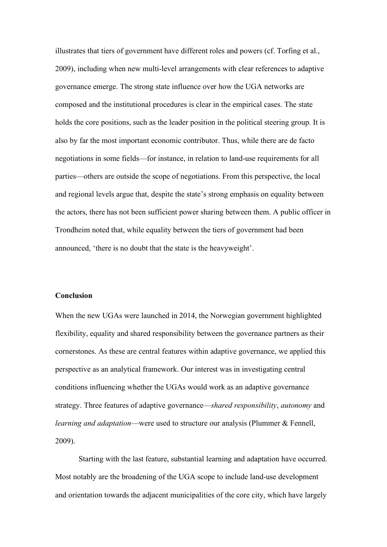illustrates that tiers of government have different roles and powers (cf. Torfing et al., 2009), including when new multi-level arrangements with clear references to adaptive governance emerge. The strong state influence over how the UGA networks are composed and the institutional procedures is clear in the empirical cases. The state holds the core positions, such as the leader position in the political steering group. It is also by far the most important economic contributor. Thus, while there are de facto negotiations in some fields—for instance, in relation to land-use requirements for all parties—others are outside the scope of negotiations. From this perspective, the local and regional levels argue that, despite the state's strong emphasis on equality between the actors, there has not been sufficient power sharing between them. A public officer in Trondheim noted that, while equality between the tiers of government had been announced, 'there is no doubt that the state is the heavyweight'.

## **Conclusion**

When the new UGAs were launched in 2014, the Norwegian government highlighted flexibility, equality and shared responsibility between the governance partners as their cornerstones. As these are central features within adaptive governance, we applied this perspective as an analytical framework. Our interest was in investigating central conditions influencing whether the UGAs would work as an adaptive governance strategy. Three features of adaptive governance—*shared responsibility*, *autonomy* and *learning and adaptation*—were used to structure our analysis (Plummer & Fennell, 2009).

Starting with the last feature, substantial learning and adaptation have occurred. Most notably are the broadening of the UGA scope to include land-use development and orientation towards the adjacent municipalities of the core city, which have largely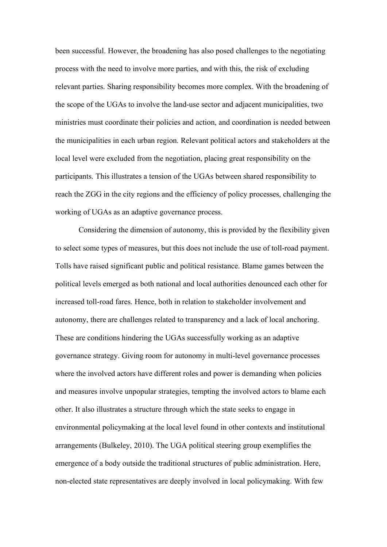been successful. However, the broadening has also posed challenges to the negotiating process with the need to involve more parties, and with this, the risk of excluding relevant parties. Sharing responsibility becomes more complex. With the broadening of the scope of the UGAs to involve the land-use sector and adjacent municipalities, two ministries must coordinate their policies and action, and coordination is needed between the municipalities in each urban region. Relevant political actors and stakeholders at the local level were excluded from the negotiation, placing great responsibility on the participants. This illustrates a tension of the UGAs between shared responsibility to reach the ZGG in the city regions and the efficiency of policy processes, challenging the working of UGAs as an adaptive governance process.

Considering the dimension of autonomy, this is provided by the flexibility given to select some types of measures, but this does not include the use of toll-road payment. Tolls have raised significant public and political resistance. Blame games between the political levels emerged as both national and local authorities denounced each other for increased toll-road fares. Hence, both in relation to stakeholder involvement and autonomy, there are challenges related to transparency and a lack of local anchoring. These are conditions hindering the UGAs successfully working as an adaptive governance strategy. Giving room for autonomy in multi-level governance processes where the involved actors have different roles and power is demanding when policies and measures involve unpopular strategies, tempting the involved actors to blame each other. It also illustrates a structure through which the state seeks to engage in environmental policymaking at the local level found in other contexts and institutional arrangements (Bulkeley, 2010). The UGA political steering group exemplifies the emergence of a body outside the traditional structures of public administration. Here, non-elected state representatives are deeply involved in local policymaking. With few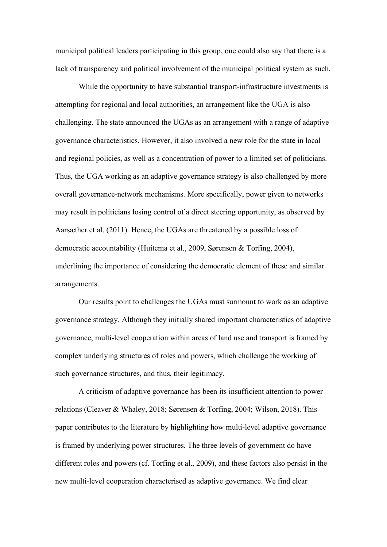municipal political leaders participating in this group, one could also say that there is a lack of transparency and political involvement of the municipal political system as such.

While the opportunity to have substantial transport-infrastructure investments is attempting for regional and local authorities, an arrangement like the UGA is also challenging. The state announced the UGAs as an arrangement with a range of adaptive governance characteristics. However, it also involved a new role for the state in local and regional policies, as well as a concentration of power to a limited set of politicians. Thus, the UGA working as an adaptive governance strategy is also challenged by more overall governance-network mechanisms. More specifically, power given to networks may result in politicians losing control of a direct steering opportunity, as observed by Aarsæther et al. (2011). Hence, the UGAs are threatened by a possible loss of democratic accountability (Huitema et al., 2009, Sørensen & Torfing, 2004), underlining the importance of considering the democratic element of these and similar arrangements.

Our results point to challenges the UGAs must surmount to work as an adaptive governance strategy. Although they initially shared important characteristics of adaptive governance, multi-level cooperation within areas of land use and transport is framed by complex underlying structures of roles and powers, which challenge the working of such governance structures, and thus, their legitimacy.

A criticism of adaptive governance has been its insufficient attention to power relations (Cleaver & Whaley, 2018; Sørensen & Torfing, 2004; Wilson, 2018). This paper contributes to the literature by highlighting how multi-level adaptive governance is framed by underlying power structures. The three levels of government do have different roles and powers (cf. Torfing et al., 2009), and these factors also persist in the new multi-level cooperation characterised as adaptive governance. We find clear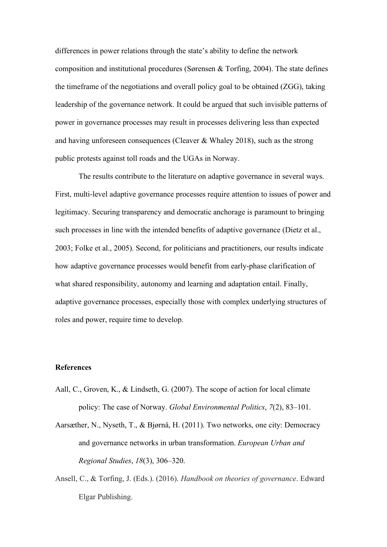differences in power relations through the state's ability to define the network composition and institutional procedures (Sørensen & Torfing, 2004). The state defines the timeframe of the negotiations and overall policy goal to be obtained (ZGG), taking leadership of the governance network. It could be argued that such invisible patterns of power in governance processes may result in processes delivering less than expected and having unforeseen consequences (Cleaver & Whaley 2018), such as the strong public protests against toll roads and the UGAs in Norway.

The results contribute to the literature on adaptive governance in several ways. First, multi-level adaptive governance processes require attention to issues of power and legitimacy. Securing transparency and democratic anchorage is paramount to bringing such processes in line with the intended benefits of adaptive governance (Dietz et al., 2003; Folke et al., 2005). Second, for politicians and practitioners, our results indicate how adaptive governance processes would benefit from early-phase clarification of what shared responsibility, autonomy and learning and adaptation entail. Finally, adaptive governance processes, especially those with complex underlying structures of roles and power, require time to develop.

## **References**

- Aall, C., Groven, K., & Lindseth, G. (2007). The scope of action for local climate policy: The case of Norway. *Global Environmental Politics*, *7*(2), 83–101.
- Aarsæther, N., Nyseth, T., & Bjørnå, H. (2011). Two networks, one city: Democracy and governance networks in urban transformation. *European Urban and Regional Studies*, *18*(3), 306–320.
- Ansell, C., & Torfing, J. (Eds.). (2016). *Handbook on theories of governance*. Edward Elgar Publishing.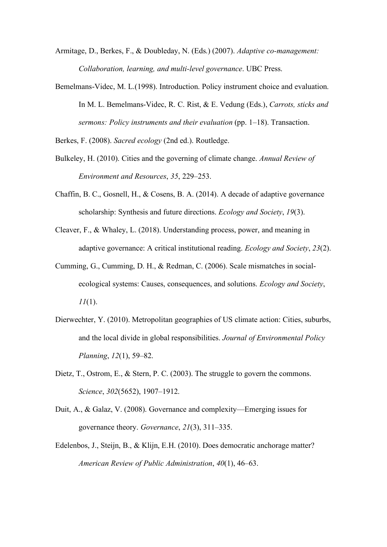Armitage, D., Berkes, F., & Doubleday, N. (Eds.) (2007). *Adaptive co-management: Collaboration, learning, and multi-level governance*. UBC Press.

Bemelmans-Videc, M. L.(1998). Introduction. Policy instrument choice and evaluation. In M. L. Bemelmans-Videc, R. C. Rist, & E. Vedung (Eds.), *Carrots, sticks and sermons: Policy instruments and their evaluation* (pp. 1–18). Transaction.

Berkes, F. (2008). *Sacred ecology* (2nd ed.). Routledge.

- Bulkeley, H. (2010). Cities and the governing of climate change. *Annual Review of Environment and Resources*, *35*, 229–253.
- Chaffin, B. C., Gosnell, H., & Cosens, B. A. (2014). A decade of adaptive governance scholarship: Synthesis and future directions. *Ecology and Society*, *19*(3).
- Cleaver, F., & Whaley, L. (2018). Understanding process, power, and meaning in adaptive governance: A critical institutional reading. *Ecology and Society*, *23*(2).
- Cumming, G., Cumming, D. H., & Redman, C. (2006). Scale mismatches in socialecological systems: Causes, consequences, and solutions. *Ecology and Society*, *11*(1).
- Dierwechter, Y. (2010). Metropolitan geographies of US climate action: Cities, suburbs, and the local divide in global responsibilities. *Journal of Environmental Policy Planning*, *12*(1), 59–82.
- Dietz, T., Ostrom, E., & Stern, P. C. (2003). The struggle to govern the commons. *Science*, *302*(5652), 1907–1912.
- Duit, A., & Galaz, V. (2008). Governance and complexity—Emerging issues for governance theory. *Governance*, *21*(3), 311–335.
- Edelenbos, J., Steijn, B., & Klijn, E.H. (2010). Does democratic anchorage matter? *American Review of Public Administration*, *40*(1), 46–63.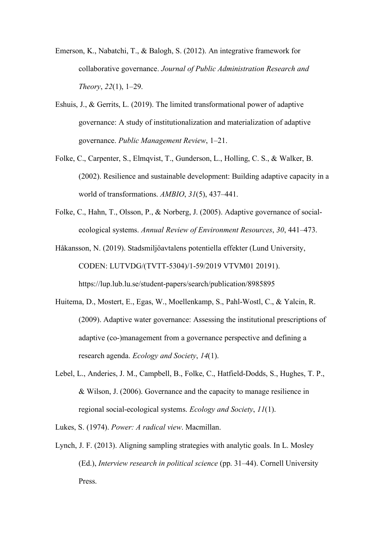- Emerson, K., Nabatchi, T., & Balogh, S. (2012). An integrative framework for collaborative governance. *Journal of Public Administration Research and Theory*, *22*(1), 1–29.
- Eshuis, J., & Gerrits, L. (2019). The limited transformational power of adaptive governance: A study of institutionalization and materialization of adaptive governance. *Public Management Review*, 1–21.
- Folke, C., Carpenter, S., Elmqvist, T., Gunderson, L., Holling, C. S., & Walker, B. (2002). Resilience and sustainable development: Building adaptive capacity in a world of transformations. *AMBIO*, *31*(5), 437–441.
- Folke, C., Hahn, T., Olsson, P., & Norberg, J. (2005). Adaptive governance of socialecological systems. *Annual Review of Environment Resources*, *30*, 441–473.
- Håkansson, N. (2019). Stadsmiljöavtalens potentiella effekter (Lund University, CODEN: LUTVDG/(TVTT-5304)/1-59/2019 VTVM01 20191). https://lup.lub.lu.se/student-papers/search/publication/8985895
- Huitema, D., Mostert, E., Egas, W., Moellenkamp, S., Pahl-Wostl, C., & Yalcin, R. (2009). Adaptive water governance: Assessing the institutional prescriptions of adaptive (co-)management from a governance perspective and defining a research agenda. *Ecology and Society*, *14*(1).
- Lebel, L., Anderies, J. M., Campbell, B., Folke, C., Hatfield-Dodds, S., Hughes, T. P., & Wilson, J. (2006). Governance and the capacity to manage resilience in regional social-ecological systems. *Ecology and Society*, *11*(1).

Lukes, S. (1974). *Power: A radical view*. Macmillan.

Lynch, J. F. (2013). Aligning sampling strategies with analytic goals. In L. Mosley (Ed.), *Interview research in political science* (pp. 31–44). Cornell University Press.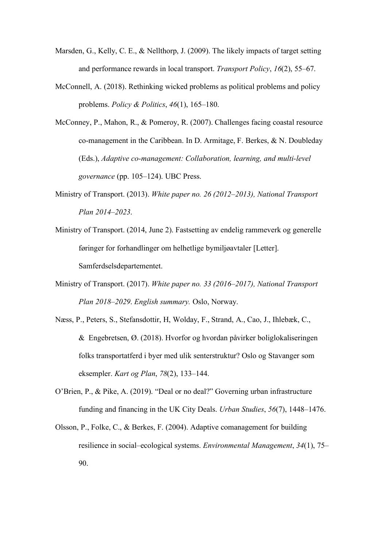- Marsden, G., Kelly, C. E., & Nellthorp, J. (2009). The likely impacts of target setting and performance rewards in local transport. *Transport Policy*, *16*(2), 55–67.
- McConnell, A. (2018). Rethinking wicked problems as political problems and policy problems. *Policy & Politics*, *46*(1), 165–180.
- McConney, P., Mahon, R., & Pomeroy, R. (2007). Challenges facing coastal resource co-management in the Caribbean. In D. Armitage, F. Berkes, & N. Doubleday (Eds.), *Adaptive co-management: Collaboration, learning, and multi-level governance* (pp. 105–124). UBC Press.
- Ministry of Transport. (2013). *White paper no. 26 (2012–2013), National Transport Plan 2014–2023*.
- Ministry of Transport. (2014, June 2). Fastsetting av endelig rammeverk og generelle føringer for forhandlinger om helhetlige bymiljøavtaler [Letter]. Samferdselsdepartementet.
- Ministry of Transport. (2017). *White paper no. 33 (2016–2017), National Transport Plan 2018–2029*. *English summary.* Oslo, Norway.
- Næss, P., Peters, S., Stefansdottir, H, Wolday, F., Strand, A., Cao, J., Ihlebæk, C., & Engebretsen, Ø. (2018). Hvorfor og hvordan påvirker boliglokaliseringen folks transportatferd i byer med ulik senterstruktur? Oslo og Stavanger som eksempler. *Kart og Plan*, *78*(2), 133–144.
- O'Brien, P., & Pike, A. (2019). "Deal or no deal?" Governing urban infrastructure funding and financing in the UK City Deals. *Urban Studies*, *56*(7), 1448–1476.
- Olsson, P., Folke, C., & Berkes, F. (2004). Adaptive comanagement for building resilience in social–ecological systems. *Environmental Management*, *34*(1), 75– 90.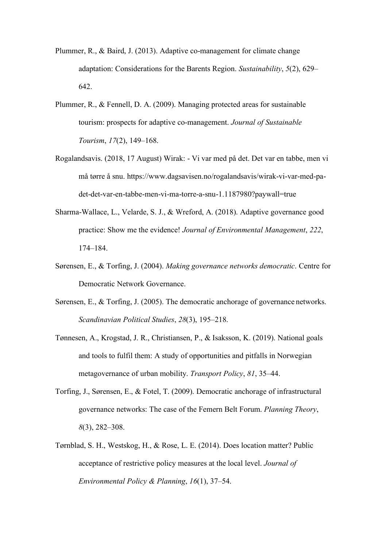- Plummer, R., & Baird, J. (2013). Adaptive co-management for climate change adaptation: Considerations for the Barents Region. *Sustainability*, *5*(2), 629– 642.
- Plummer, R., & Fennell, D. A. (2009). Managing protected areas for sustainable tourism: prospects for adaptive co-management. *Journal of Sustainable Tourism*, *17*(2), 149–168.
- Rogalandsavis. (2018, 17 August) Wirak: Vi var med på det. Det var en tabbe, men vi må tørre å snu. https://www.dagsavisen.no/rogalandsavis/wirak-vi-var-med-padet-det-var-en-tabbe-men-vi-ma-torre-a-snu-1.1187980?paywall=true
- Sharma-Wallace, L., Velarde, S. J., & Wreford, A. (2018). Adaptive governance good practice: Show me the evidence! *Journal of Environmental Management*, *222*, 174–184.
- Sørensen, E., & Torfing, J. (2004). *Making governance networks democratic*. Centre for Democratic Network Governance.
- Sørensen, E., & Torfing, J. (2005). The democratic anchorage of governance networks. *Scandinavian Political Studies*, *28*(3), 195–218.
- Tønnesen, A., Krogstad, J. R., Christiansen, P., & Isaksson, K. (2019). National goals and tools to fulfil them: A study of opportunities and pitfalls in Norwegian metagovernance of urban mobility. *Transport Policy*, *81*, 35–44.
- Torfing, J., Sørensen, E., & Fotel, T. (2009). Democratic anchorage of infrastructural governance networks: The case of the Femern Belt Forum. *Planning Theory*, *8*(3), 282–308.
- Tørnblad, S. H., Westskog, H., & Rose, L. E. (2014). Does location matter? Public acceptance of restrictive policy measures at the local level. *Journal of Environmental Policy & Planning*, *16*(1), 37–54.